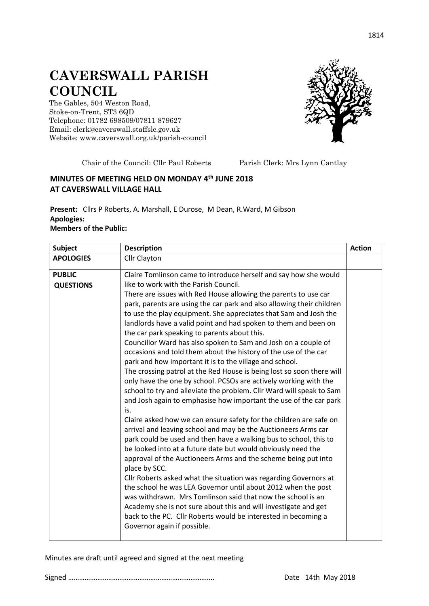## **CAVERSWALL PARISH COUNCIL**

The Gables, 504 Weston Road, Stoke-on-Trent, ST3 6QD Telephone: 01782 698509/07811 879627 Email: clerk@caverswall.staffslc.gov.uk Website: [www.c](http://www.dilhorneparishcouncil.co.uk/)averswall.org.uk/parish-council



Chair of the Council: Cllr Paul Roberts Parish Clerk: Mrs Lynn Cantlay

## **MINUTES OF MEETING HELD ON MONDAY 4 th JUNE 2018 AT CAVERSWALL VILLAGE HALL**

**Present:** Cllrs P Roberts, A. Marshall, E Durose, M Dean, R.Ward, M Gibson **Apologies: Members of the Public:**

**Subject Description Action Action Action APOLOGIES** | Cllr Clayton **PUBLIC QUESTIONS** Claire Tomlinson came to introduce herself and say how she would like to work with the Parish Council. There are issues with Red House allowing the parents to use car park, parents are using the car park and also allowing their children to use the play equipment. She appreciates that Sam and Josh the landlords have a valid point and had spoken to them and been on the car park speaking to parents about this. Councillor Ward has also spoken to Sam and Josh on a couple of occasions and told them about the history of the use of the car park and how important it is to the village and school. The crossing patrol at the Red House is being lost so soon there will only have the one by school. PCSOs are actively working with the school to try and alleviate the problem. Cllr Ward will speak to Sam and Josh again to emphasise how important the use of the car park is. Claire asked how we can ensure safety for the children are safe on arrival and leaving school and may be the Auctioneers Arms car park could be used and then have a walking bus to school, this to be looked into at a future date but would obviously need the approval of the Auctioneers Arms and the scheme being put into place by SCC. Cllr Roberts asked what the situation was regarding Governors at the school he was LEA Governor until about 2012 when the post was withdrawn. Mrs Tomlinson said that now the school is an Academy she is not sure about this and will investigate and get back to the PC. Cllr Roberts would be interested in becoming a Governor again if possible.

Minutes are draft until agreed and signed at the next meeting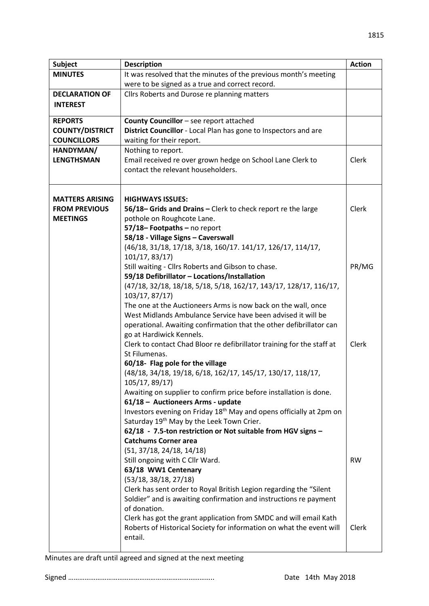|                                                                                                                                                    | <b>Action</b> |
|----------------------------------------------------------------------------------------------------------------------------------------------------|---------------|
| It was resolved that the minutes of the previous month's meeting<br><b>MINUTES</b>                                                                 |               |
| were to be signed as a true and correct record.                                                                                                    |               |
| <b>DECLARATION OF</b><br>Cllrs Roberts and Durose re planning matters                                                                              |               |
| <b>INTEREST</b>                                                                                                                                    |               |
| County Councillor - see report attached<br><b>REPORTS</b>                                                                                          |               |
| District Councillor - Local Plan has gone to Inspectors and are<br><b>COUNTY/DISTRICT</b>                                                          |               |
| <b>COUNCILLORS</b><br>waiting for their report.                                                                                                    |               |
| Nothing to report.<br>HANDYMAN/                                                                                                                    |               |
| <b>LENGTHSMAN</b><br>Email received re over grown hedge on School Lane Clerk to<br>Clerk                                                           |               |
| contact the relevant householders.                                                                                                                 |               |
| <b>MATTERS ARISING</b><br><b>HIGHWAYS ISSUES:</b>                                                                                                  |               |
| Clerk<br><b>FROM PREVIOUS</b><br>56/18– Grids and Drains – Clerk to check report re the large                                                      |               |
| pothole on Roughcote Lane.<br><b>MEETINGS</b>                                                                                                      |               |
| 57/18-Footpaths-no report                                                                                                                          |               |
| 58/18 - Village Signs - Caverswall                                                                                                                 |               |
| (46/18, 31/18, 17/18, 3/18, 160/17. 141/17, 126/17, 114/17,                                                                                        |               |
| 101/17, 83/17)                                                                                                                                     |               |
| Still waiting - Cllrs Roberts and Gibson to chase.                                                                                                 | PR/MG         |
| 59/18 Defibrillator - Locations/Installation                                                                                                       |               |
| (47/18, 32/18, 18/18, 5/18, 5/18, 162/17, 143/17, 128/17, 116/17,                                                                                  |               |
| 103/17, 87/17)                                                                                                                                     |               |
| The one at the Auctioneers Arms is now back on the wall, once                                                                                      |               |
| West Midlands Ambulance Service have been advised it will be                                                                                       |               |
| operational. Awaiting confirmation that the other defibrillator can                                                                                |               |
| go at Hardiwick Kennels.                                                                                                                           |               |
| Clerk to contact Chad Bloor re defibrillator training for the staff at<br>Clerk                                                                    |               |
| St Filumenas.                                                                                                                                      |               |
| 60/18- Flag pole for the village                                                                                                                   |               |
| (48/18, 34/18, 19/18, 6/18, 162/17, 145/17, 130/17, 118/17,                                                                                        |               |
| 105/17, 89/17)                                                                                                                                     |               |
| Awaiting on supplier to confirm price before installation is done.                                                                                 |               |
| 61/18 - Auctioneers Arms - update                                                                                                                  |               |
| Investors evening on Friday 18 <sup>th</sup> May and opens officially at 2pm on                                                                    |               |
| Saturday 19th May by the Leek Town Crier.                                                                                                          |               |
| 62/18 - 7.5-ton restriction or Not suitable from HGV signs -                                                                                       |               |
| <b>Catchums Corner area</b>                                                                                                                        |               |
| (51, 37/18, 24/18, 14/18)                                                                                                                          |               |
| Still ongoing with C Cllr Ward.<br><b>RW</b>                                                                                                       |               |
| 63/18 WW1 Centenary                                                                                                                                |               |
| (53/18, 38/18, 27/18)                                                                                                                              |               |
| Clerk has sent order to Royal British Legion regarding the "Silent                                                                                 |               |
| Soldier" and is awaiting confirmation and instructions re payment<br>of donation.                                                                  |               |
|                                                                                                                                                    |               |
| Clerk has got the grant application from SMDC and will email Kath<br>Roberts of Historical Society for information on what the event will<br>Clerk |               |
| entail.                                                                                                                                            |               |
|                                                                                                                                                    |               |

Minutes are draft until agreed and signed at the next meeting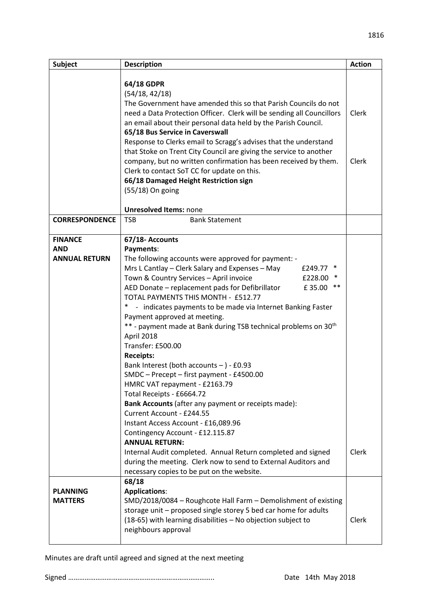| Subject               | <b>Description</b>                                                               | <b>Action</b> |
|-----------------------|----------------------------------------------------------------------------------|---------------|
|                       |                                                                                  |               |
|                       | 64/18 GDPR                                                                       |               |
|                       | (54/18, 42/18)                                                                   |               |
|                       | The Government have amended this so that Parish Councils do not                  |               |
|                       | need a Data Protection Officer. Clerk will be sending all Councillors            | Clerk         |
|                       | an email about their personal data held by the Parish Council.                   |               |
|                       | 65/18 Bus Service in Caverswall                                                  |               |
|                       | Response to Clerks email to Scragg's advises that the understand                 |               |
|                       | that Stoke on Trent City Council are giving the service to another               |               |
|                       | company, but no written confirmation has been received by them.                  | Clerk         |
|                       | Clerk to contact SoT CC for update on this.                                      |               |
|                       | 66/18 Damaged Height Restriction sign                                            |               |
|                       | (55/18) On going                                                                 |               |
|                       | <b>Unresolved Items: none</b>                                                    |               |
| <b>CORRESPONDENCE</b> | <b>TSB</b><br><b>Bank Statement</b>                                              |               |
|                       |                                                                                  |               |
| <b>FINANCE</b>        | 67/18- Accounts                                                                  |               |
| <b>AND</b>            | Payments:                                                                        |               |
| <b>ANNUAL RETURN</b>  | The following accounts were approved for payment: -                              |               |
|                       | Mrs L Cantlay - Clerk Salary and Expenses - May<br>£249.77 *                     |               |
|                       | Town & Country Services - April invoice<br>$\ast$<br>£228.00                     |               |
|                       | $***$<br>AED Donate - replacement pads for Defibrillator<br>£35.00               |               |
|                       | TOTAL PAYMENTS THIS MONTH - £512.77                                              |               |
|                       | $\ast$<br>- indicates payments to be made via Internet Banking Faster            |               |
|                       | Payment approved at meeting.                                                     |               |
|                       | ** - payment made at Bank during TSB technical problems on 30 <sup>th</sup>      |               |
|                       | April 2018                                                                       |               |
|                       | Transfer: £500.00                                                                |               |
|                       | <b>Receipts:</b>                                                                 |               |
|                       | Bank Interest (both accounts $-$ ) - £0.93                                       |               |
|                       | SMDC - Precept - first payment - £4500.00                                        |               |
|                       | HMRC VAT repayment - £2163.79                                                    |               |
|                       | Total Receipts - £6664.72                                                        |               |
|                       | Bank Accounts (after any payment or receipts made):<br>Current Account - £244.55 |               |
|                       | Instant Access Account - £16,089.96                                              |               |
|                       | Contingency Account - £12.115.87                                                 |               |
|                       | <b>ANNUAL RETURN:</b>                                                            |               |
|                       | Internal Audit completed. Annual Return completed and signed                     | Clerk         |
|                       | during the meeting. Clerk now to send to External Auditors and                   |               |
|                       | necessary copies to be put on the website.                                       |               |
|                       | 68/18                                                                            |               |
| <b>PLANNING</b>       | <b>Applications:</b>                                                             |               |
| <b>MATTERS</b>        | SMD/2018/0084 - Roughcote Hall Farm - Demolishment of existing                   |               |
|                       | storage unit - proposed single storey 5 bed car home for adults                  |               |
|                       | (18-65) with learning disabilities - No objection subject to                     | Clerk         |
|                       | neighbours approval                                                              |               |
|                       |                                                                                  |               |

Minutes are draft until agreed and signed at the next meeting